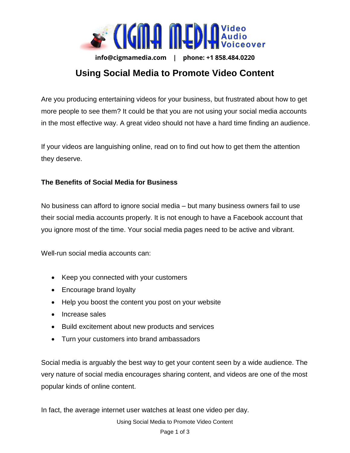

**info@cigmamedia.com | phone: +1 858.484.0220** 

## **Using Social Media to Promote Video Content**

Are you producing entertaining videos for your business, but frustrated about how to get more people to see them? It could be that you are not using your social media accounts in the most effective way. A great video should not have a hard time finding an audience.

If your videos are languishing online, read on to find out how to get them the attention they deserve.

## **The Benefits of Social Media for Business**

No business can afford to ignore social media – but many business owners fail to use their social media accounts properly. It is not enough to have a Facebook account that you ignore most of the time. Your social media pages need to be active and vibrant.

Well-run social media accounts can:

- Keep you connected with your customers
- Encourage brand loyalty
- Help you boost the content you post on your website
- Increase sales
- Build excitement about new products and services
- Turn your customers into brand ambassadors

Social media is arguably the best way to get your content seen by a wide audience. The very nature of social media encourages sharing content, and videos are one of the most popular kinds of online content.

In fact, the average internet user watches at least one video per day.

Using Social Media to Promote Video Content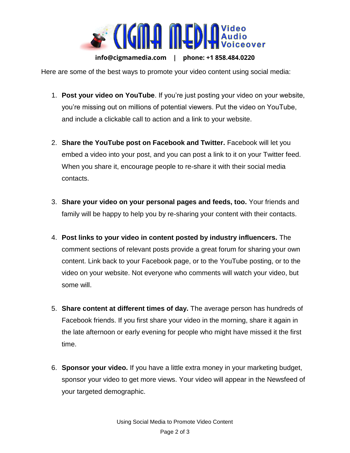

**info@cigmamedia.com | phone: +1 858.484.0220** 

Here are some of the best ways to promote your video content using social media:

- 1. **Post your video on YouTube**. If you're just posting your video on your website, you're missing out on millions of potential viewers. Put the video on YouTube, and include a clickable call to action and a link to your website.
- 2. **Share the YouTube post on Facebook and Twitter.** Facebook will let you embed a video into your post, and you can post a link to it on your Twitter feed. When you share it, encourage people to re-share it with their social media contacts.
- 3. **Share your video on your personal pages and feeds, too.** Your friends and family will be happy to help you by re-sharing your content with their contacts.
- 4. **Post links to your video in content posted by industry influencers.** The comment sections of relevant posts provide a great forum for sharing your own content. Link back to your Facebook page, or to the YouTube posting, or to the video on your website. Not everyone who comments will watch your video, but some will.
- 5. **Share content at different times of day.** The average person has hundreds of Facebook friends. If you first share your video in the morning, share it again in the late afternoon or early evening for people who might have missed it the first time.
- 6. **Sponsor your video.** If you have a little extra money in your marketing budget, sponsor your video to get more views. Your video will appear in the Newsfeed of your targeted demographic.